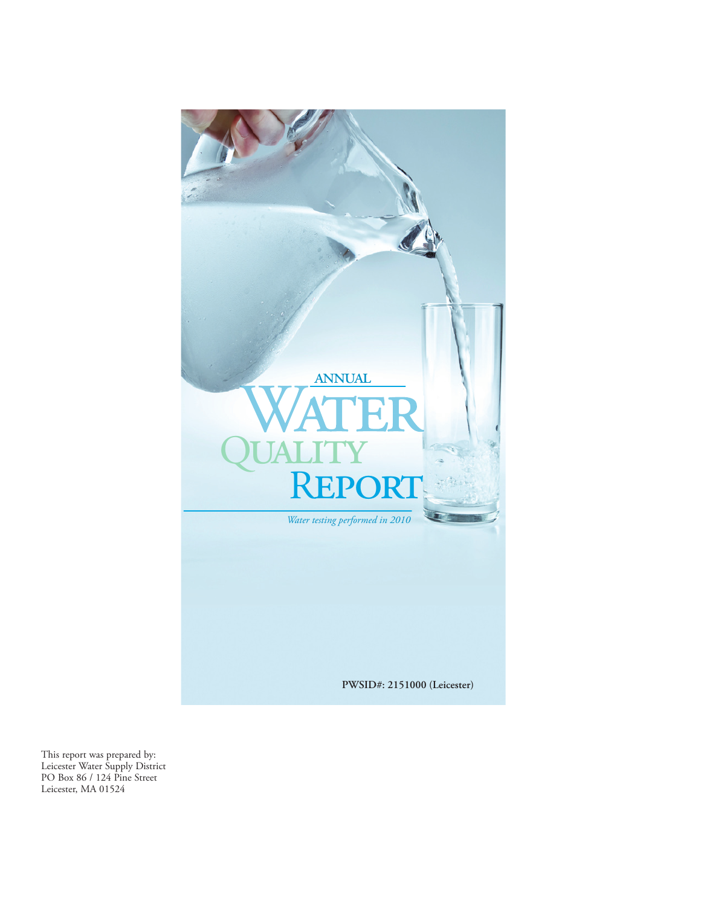

This report was prepared by: Leicester Water Supply District PO Box 86 / 124 Pine Street Leicester, MA 01524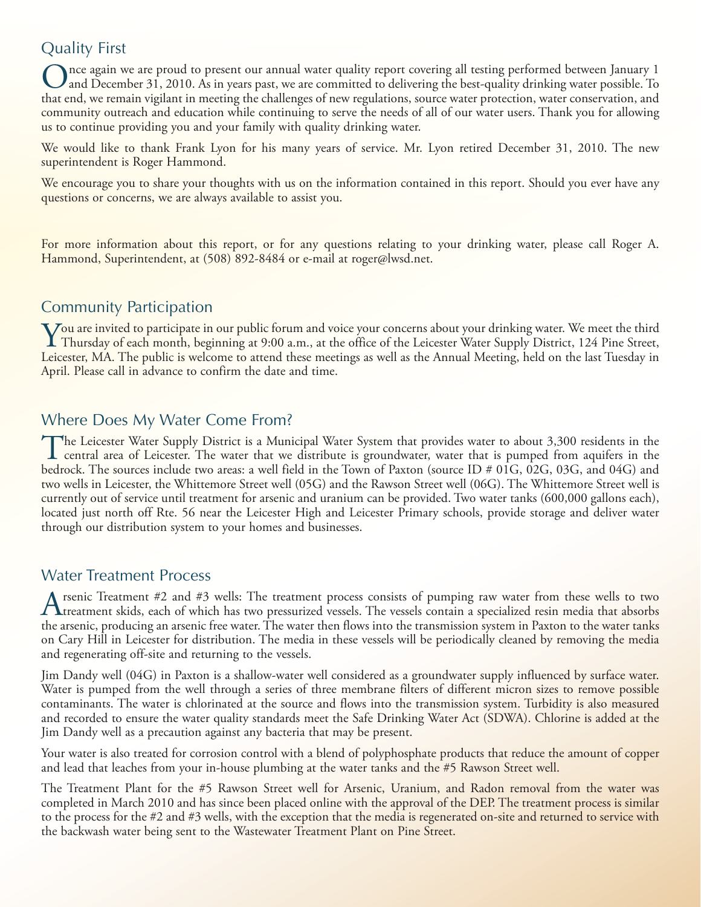## Quality First

Once again we are proud to present our annual water quality report covering all testing performed between January 1 and December 31, 2010. As in years past, we are committed to delivering the best-quality drinking water possible. To that end, we remain vigilant in meeting the challenges of new regulations, source water protection, water conservation, and community outreach and education while continuing to serve the needs of all of our water users. Thank you for allowing us to continue providing you and your family with quality drinking water.

We would like to thank Frank Lyon for his many years of service. Mr. Lyon retired December 31, 2010. The new superintendent is Roger Hammond.

We encourage you to share your thoughts with us on the information contained in this report. Should you ever have any questions or concerns, we are always available to assist you.

For more information about this report, or for any questions relating to your drinking water, please call Roger A. Hammond, Superintendent, at (508) 892-8484 or e-mail at roger@lwsd.net.

## Community Participation

You are invited to participate in our public forum and voice your concerns about your drinking water. We meet the third<br>Thursday of each month, beginning at 9:00 a.m., at the office of the Leicester Water Supply District, Leicester, MA. The public is welcome to attend these meetings as well as the Annual Meeting, held on the last Tuesday in April. Please call in advance to confirm the date and time.

#### Where Does My Water Come From?

The Leicester Water Supply District is a Municipal Water System that provides water to about 3,300 residents in the<br>central area of Leicester. The water that we distribute is groundwater, water that is pumped from aquifers bedrock. The sources include two areas: a well field in the Town of Paxton (source ID # 01G, 02G, 03G, and 04G) and two wells in Leicester, the Whittemore Street well (05G) and the Rawson Street well (06G). The Whittemore Street well is currently out of service until treatment for arsenic and uranium can be provided. Two water tanks (600,000 gallons each), located just north off Rte. 56 near the Leicester High and Leicester Primary schools, provide storage and deliver water through our distribution system to your homes and businesses.

#### Water Treatment Process

A rsenic Treatment #2 and #3 wells: The treatment process consists of pumping raw water from these wells to two<br>A treatment skids, each of which has two pressurized vessels. The vessels contain a specialized resin media th the arsenic, producing an arsenic free water. The water then flows into the transmission system in Paxton to the water tanks on Cary Hill in Leicester for distribution. The media in these vessels will be periodically cleaned by removing the media and regenerating off-site and returning to the vessels.

Jim Dandy well (04G) in Paxton is a shallow-water well considered as a groundwater supply influenced by surface water. Water is pumped from the well through a series of three membrane filters of different micron sizes to remove possible contaminants. The water is chlorinated at the source and flows into the transmission system. Turbidity is also measured and recorded to ensure the water quality standards meet the Safe Drinking Water Act (SDWA). Chlorine is added at the Jim Dandy well as a precaution against any bacteria that may be present.

Your water is also treated for corrosion control with a blend of polyphosphate products that reduce the amount of copper and lead that leaches from your in-house plumbing at the water tanks and the #5 Rawson Street well.

The Treatment Plant for the #5 Rawson Street well for Arsenic, Uranium, and Radon removal from the water was completed in March 2010 and has since been placed online with the approval of the DEP. The treatment process is similar to the process for the #2 and #3 wells, with the exception that the media is regenerated on-site and returned to service with the backwash water being sent to the Wastewater Treatment Plant on Pine Street.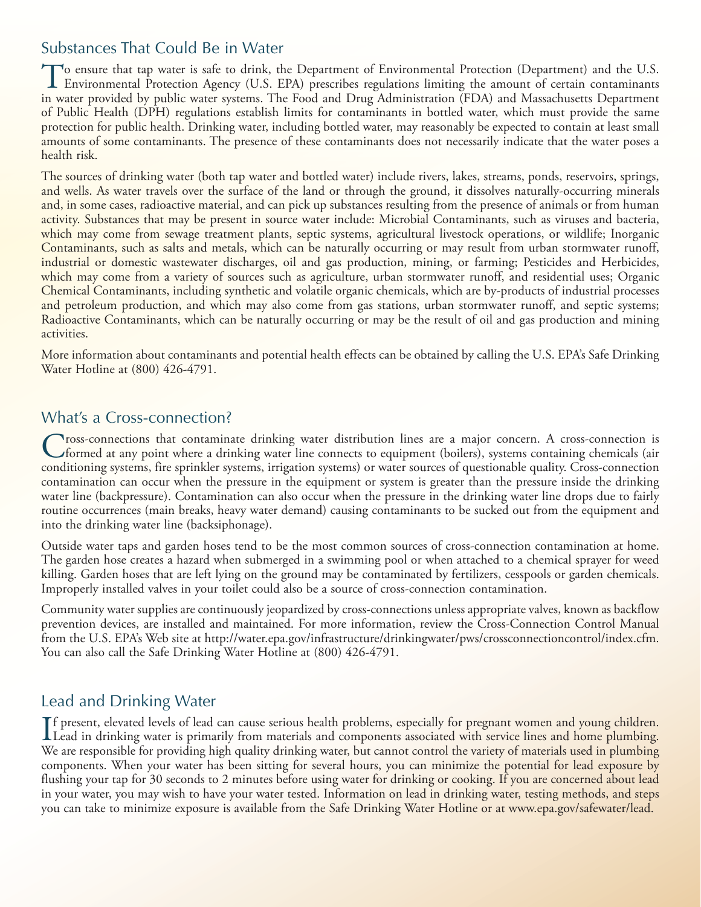#### Substances That Could Be in Water

To ensure that tap water is safe to drink, the Department of Environmental Protection (Department) and the U.S. Environmental Protection Agency (U.S. EPA) prescribes regulations limiting the amount of certain contaminants in water provided by public water systems. The Food and Drug Administration (FDA) and Massachusetts Department of Public Health (DPH) regulations establish limits for contaminants in bottled water, which must provide the same protection for public health. Drinking water, including bottled water, may reasonably be expected to contain at least small amounts of some contaminants. The presence of these contaminants does not necessarily indicate that the water poses a health risk.

The sources of drinking water (both tap water and bottled water) include rivers, lakes, streams, ponds, reservoirs, springs, and wells. As water travels over the surface of the land or through the ground, it dissolves naturally-occurring minerals and, in some cases, radioactive material, and can pick up substances resulting from the presence of animals or from human activity. Substances that may be present in source water include: Microbial Contaminants, such as viruses and bacteria, which may come from sewage treatment plants, septic systems, agricultural livestock operations, or wildlife; Inorganic Contaminants, such as salts and metals, which can be naturally occurring or may result from urban stormwater runoff, industrial or domestic wastewater discharges, oil and gas production, mining, or farming; Pesticides and Herbicides, which may come from a variety of sources such as agriculture, urban stormwater runoff, and residential uses; Organic Chemical Contaminants, including synthetic and volatile organic chemicals, which are by-products of industrial processes and petroleum production, and which may also come from gas stations, urban stormwater runoff, and septic systems; Radioactive Contaminants, which can be naturally occurring or may be the result of oil and gas production and mining activities.

More information about contaminants and potential health effects can be obtained by calling the U.S. EPA's Safe Drinking Water Hotline at (800) 426-4791.

#### What's a Cross-connection?

Cross-connections that contaminate drinking water distribution lines are a major concern. A cross-connection is<br>Corned at any point where a drinking water line connects to equipment (boilers), systems containing chemicals conditioning systems, fire sprinkler systems, irrigation systems) or water sources of questionable quality. Cross-connection contamination can occur when the pressure in the equipment or system is greater than the pressure inside the drinking water line (backpressure). Contamination can also occur when the pressure in the drinking water line drops due to fairly routine occurrences (main breaks, heavy water demand) causing contaminants to be sucked out from the equipment and into the drinking water line (backsiphonage).

Outside water taps and garden hoses tend to be the most common sources of cross-connection contamination at home. The garden hose creates a hazard when submerged in a swimming pool or when attached to a chemical sprayer for weed killing. Garden hoses that are left lying on the ground may be contaminated by fertilizers, cesspools or garden chemicals. Improperly installed valves in your toilet could also be a source of cross-connection contamination.

Community water supplies are continuously jeopardized by cross-connections unless appropriate valves, known as backflow prevention devices, are installed and maintained. For more information, review the Cross-Connection Control Manual from the U.S. EPA's Web site at http://water.epa.gov/infrastructure/drinkingwater/pws/crossconnectioncontrol/index.cfm. You can also call the Safe Drinking Water Hotline at (800) 426-4791.

## Lead and Drinking Water

If present, elevated levels of lead can cause serious health problems, especially for pregnant women and young children.<br>Lead in drinking water is primarily from materials and components associated with service lines and h Lead in drinking water is primarily from materials and components associated with service lines and home plumbing. We are responsible for providing high quality drinking water, but cannot control the variety of materials used in plumbing components. When your water has been sitting for several hours, you can minimize the potential for lead exposure by flushing your tap for 30 seconds to 2 minutes before using water for drinking or cooking. If you are concerned about lead in your water, you may wish to have your water tested. Information on lead in drinking water, testing methods, and steps you can take to minimize exposure is available from the Safe Drinking Water Hotline or at www.epa.gov/safewater/lead.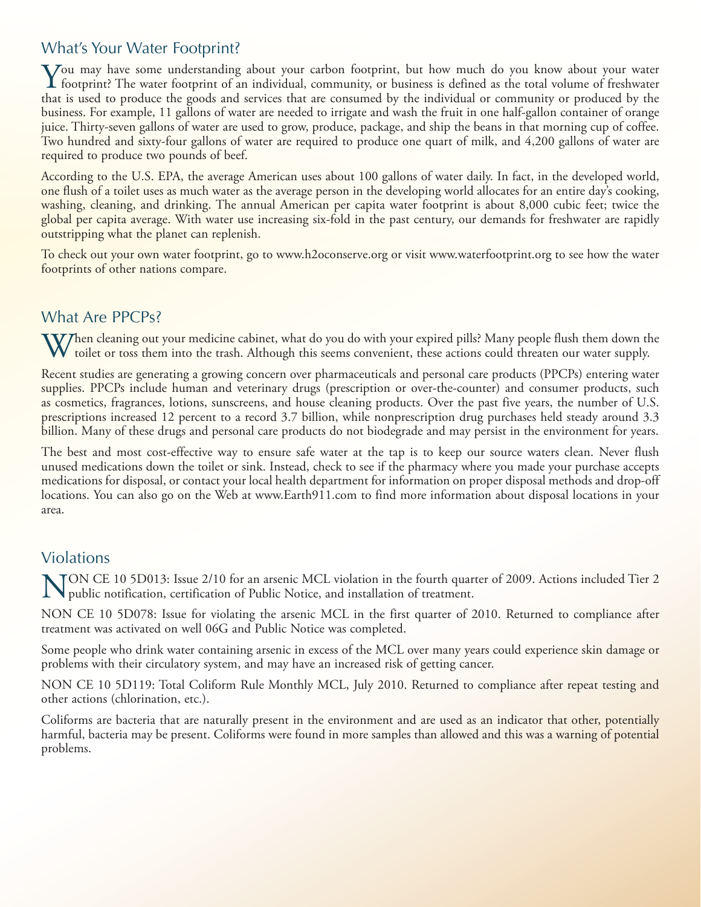## What's Your Water Footprint?

You may have some understanding about your carbon footprint, but how much do you know about your water<br>footprint? The water footprint of an individual, community, or business is defined as the total volume of freshwater<br>th that is used to produce the goods and services that are consumed by the individual or community or produced by the business. For example, 11 gallons of water are needed to irrigate and wash the fruit in one half-gallon container of orange juice. Thirty-seven gallons of water are used to grow, produce, package, and ship the beans in that morning cup of coffee. Two hundred and sixty-four gallons of water are required to produce one quart of milk, and 4,200 gallons of water are required to produce two pounds of beef.

According to the U.S. EPA, the average American uses about 100 gallons of water daily. In fact, in the developed world, one flush of a toilet uses as much water as the average person in the developing world allocates for an entire day's cooking, washing, cleaning, and drinking. The annual American per capita water footprint is about 8,000 cubic feet; twice the global per capita average. With water use increasing six-fold in the past century, our demands for freshwater are rapidly outstripping what the planet can replenish.

To check out your own water footprint, go to www.h2oconserve.org or visit www.waterfootprint.org to see how the water footprints of other nations compare.

#### What Are PPCPs?

 $\bf{V}$ Then cleaning out your medicine cabinet, what do you do with your expired pills? Many people flush them down the  $W$  toilet or toss them into the trash. Although this seems convenient, these actions could threaten our water supply.

Recent studies are generating a growing concern over pharmaceuticals and personal care products (PPCPs) entering water supplies. PPCPs include human and veterinary drugs (prescription or over-the-counter) and consumer products, such as cosmetics, fragrances, lotions, sunscreens, and house cleaning products. Over the past five years, the number of U.S. prescriptions increased 12 percent to a record 3.7 billion, while nonprescription drug purchases held steady around 3.3 billion. Many of these drugs and personal care products do not biodegrade and may persist in the environment for years.

The best and most cost-effective way to ensure safe water at the tap is to keep our source waters clean. Never flush unused medications down the toilet or sink. Instead, check to see if the pharmacy where you made your purchase accepts medications for disposal, or contact your local health department for information on proper disposal methods and drop-off locations. You can also go on the Web at www.Earth911.com to find more information about disposal locations in your area.

#### Violations

TON CE 10 5D013: Issue 2/10 for an arsenic MCL violation in the fourth quarter of 2009. Actions included Tier 2 public notification, certification of Public Notice, and installation of treatment.

NON CE 10 5D078: Issue for violating the arsenic MCL in the first quarter of 2010. Returned to compliance after treatment was activated on well 06G and Public Notice was completed.

Some people who drink water containing arsenic in excess of the MCL over many years could experience skin damage or problems with their circulatory system, and may have an increased risk of getting cancer.

NON CE 10 5D119: Total Coliform Rule Monthly MCL, July 2010. Returned to compliance after repeat testing and other actions (chlorination, etc.).

Coliforms are bacteria that are naturally present in the environment and are used as an indicator that other, potentially harmful, bacteria may be present. Coliforms were found in more samples than allowed and this was a warning of potential problems.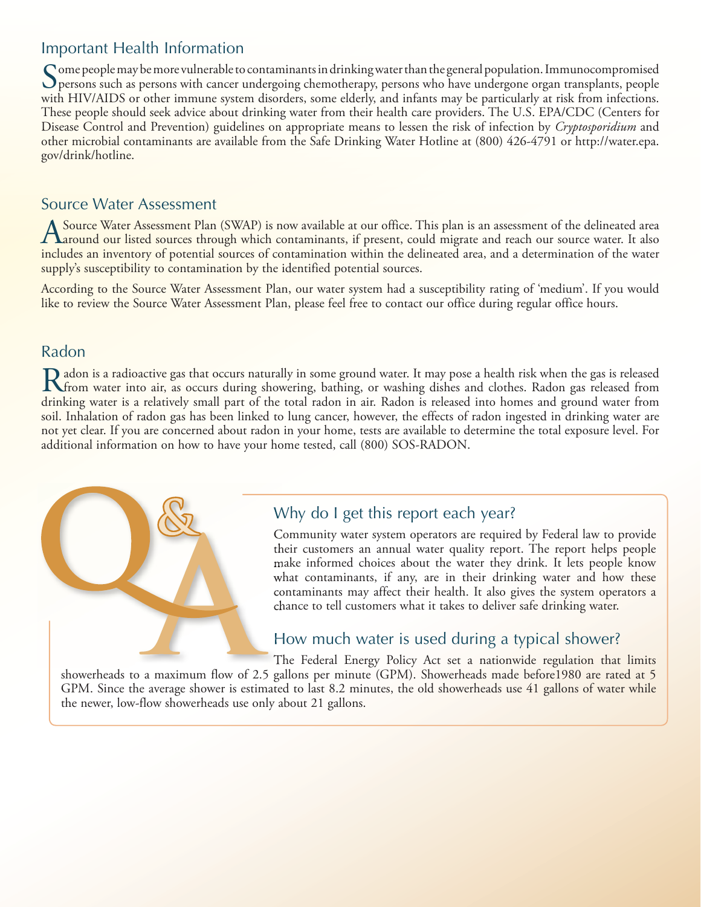## Important Health Information

Some people may be more vulnerable to contaminants in drinking water than the general population. Immunocompromised<br>Spersons such as persons with cancer undergoing chemotherapy, persons who have undergone organ transplants with HIV/AIDS or other immune system disorders, some elderly, and infants may be particularly at risk from infections. These people should seek advice about drinking water from their health care providers. The U.S. EPA/CDC (Centers for Disease Control and Prevention) guidelines on appropriate means to lessen the risk of infection by *Cryptosporidium* and other microbial contaminants are available from the Safe Drinking Water Hotline at (800) 426-4791 or http://water.epa. gov/drink/hotline.

#### Source Water Assessment

A Source Water Assessment Plan (SWAP) is now available at our office. This plan is an assessment of the delineated area<br>A around our listed sources through which contaminants, if present, could migrate and reach our source includes an inventory of potential sources of contamination within the delineated area, and a determination of the water supply's susceptibility to contamination by the identified potential sources.

According to the Source Water Assessment Plan, our water system had a susceptibility rating of 'medium'. If you would like to review the Source Water Assessment Plan, please feel free to contact our office during regular office hours.

#### Radon

Radon is a radioactive gas that occurs naturally in some ground water. It may pose a health risk when the gas is released<br>The water into air, as occurs during showering, bathing, or washing dishes and clothes. Radon gas re drinking water is a relatively small part of the total radon in air. Radon is released into homes and ground water from soil. Inhalation of radon gas has been linked to lung cancer, however, the effects of radon ingested in drinking water are not yet clear. If you are concerned about radon in your home, tests are available to determine the total exposure level. For additional information on how to have your home tested, call (800) SOS-RADON.

# Why do I get this report each year?

Community water system operators are required by Federal law to provide their customers an annual water quality report. The report helps people make informed choices about the water they drink. It lets people know what contaminants, if any, are in their drinking water and how these contaminants may affect their health. It also gives the system operators a chance to tell customers what it takes to deliver safe drinking water.

#### How much water is used during a typical shower?

The Federal Energy Policy Act set a nationwide regulation that limits showerheads to a maximum flow of 2.5 gallons per minute (GPM). Showerheads made before1980 are rated at 5 GPM. Since the average shower is estimated to last 8.2 minutes, the old showerheads use 41 gallons of water while the newer, low-flow showerheads use only about 21 gallons.